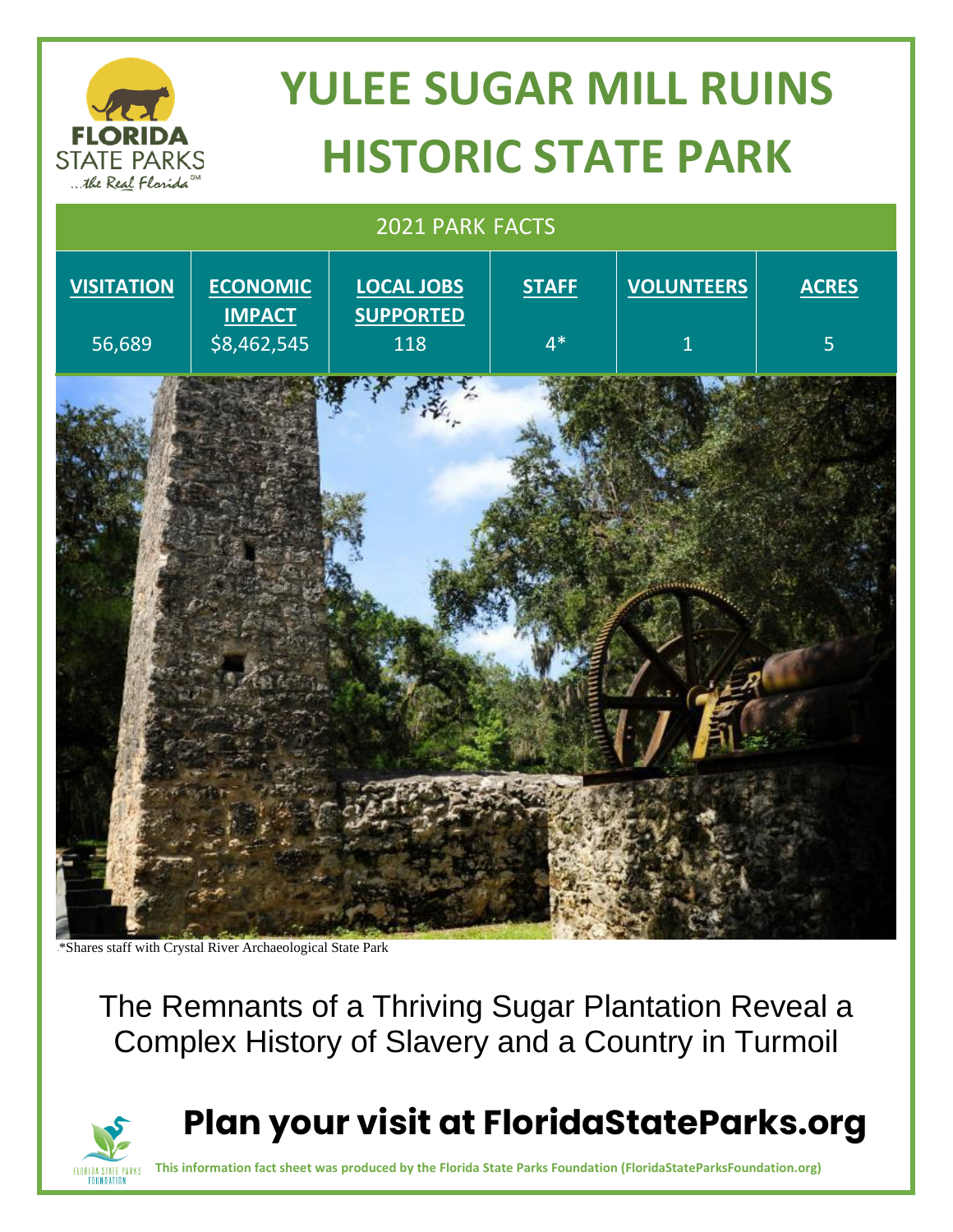# **YULEE SUGAR MILL RUINS HISTORIC STATE PARK**



\*\*Shares staff with Crystal River Archaeological State Park

**FLORIDA STATE PARKS FOUNDATION** 

**STATE PARKS** ... the Real Florida

> The Remnants of a Thriving Sugar Plantation Reveal a Complex History of Slavery and a Country in Turmoil

## **Plan your visit at FloridaStateParks.org**

**This information fact sheet was produced by the Florida State Parks Foundation (FloridaStateParksFoundation.org)**